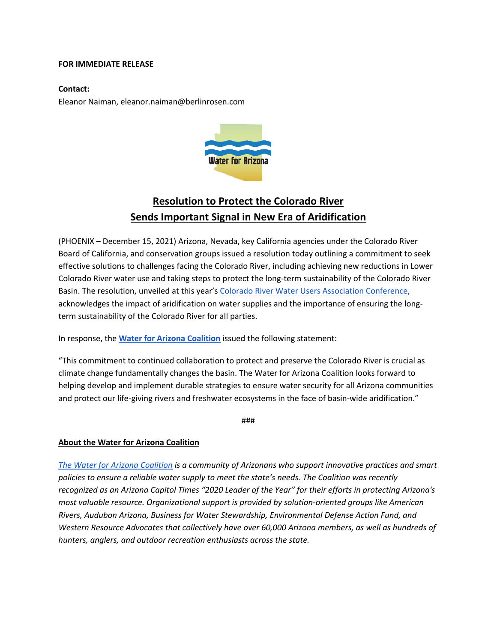## **FOR IMMEDIATE RELEASE**

## **Contact:**

Eleanor Naiman, eleanor.naiman@berlinrosen.com



## **Resolution to Protect the Colorado River Sends Important Signal in New Era of Aridification**

(PHOENIX – December 15, 2021) Arizona, Nevada, key California agencies under the Colorado River Board of California, and conservation groups issued a resolution today outlining a commitment to seek effective solutions to challenges facing the Colorado River, including achieving new reductions in Lower Colorado River water use and taking steps to protect the long-term sustainability of the Colorado River Basin. The resolution, unveiled at this year's Colorado River Water Users Association Conference, acknowledges the impact of aridification on water supplies and the importance of ensuring the longterm sustainability of the Colorado River for all parties.

In response, the **Water for Arizona Coalition** issued the following statement:

"This commitment to continued collaboration to protect and preserve the Colorado River is crucial as climate change fundamentally changes the basin. The Water for Arizona Coalition looks forward to helping develop and implement durable strategies to ensure water security for all Arizona communities and protect our life-giving rivers and freshwater ecosystems in the face of basin-wide aridification."

###

## **About the Water for Arizona Coalition**

*The Water for Arizona Coalition is a community of Arizonans who support innovative practices and smart policies to ensure a reliable water supply to meet the state's needs. The Coalition was recently recognized as an Arizona Capitol Times "2020 Leader of the Year" for their efforts in protecting Arizona's most valuable resource. Organizational support is provided by solution-oriented groups like American Rivers, Audubon Arizona, Business for Water Stewardship, Environmental Defense Action Fund, and Western Resource Advocates that collectively have over 60,000 Arizona members, as well as hundreds of hunters, anglers, and outdoor recreation enthusiasts across the state.*